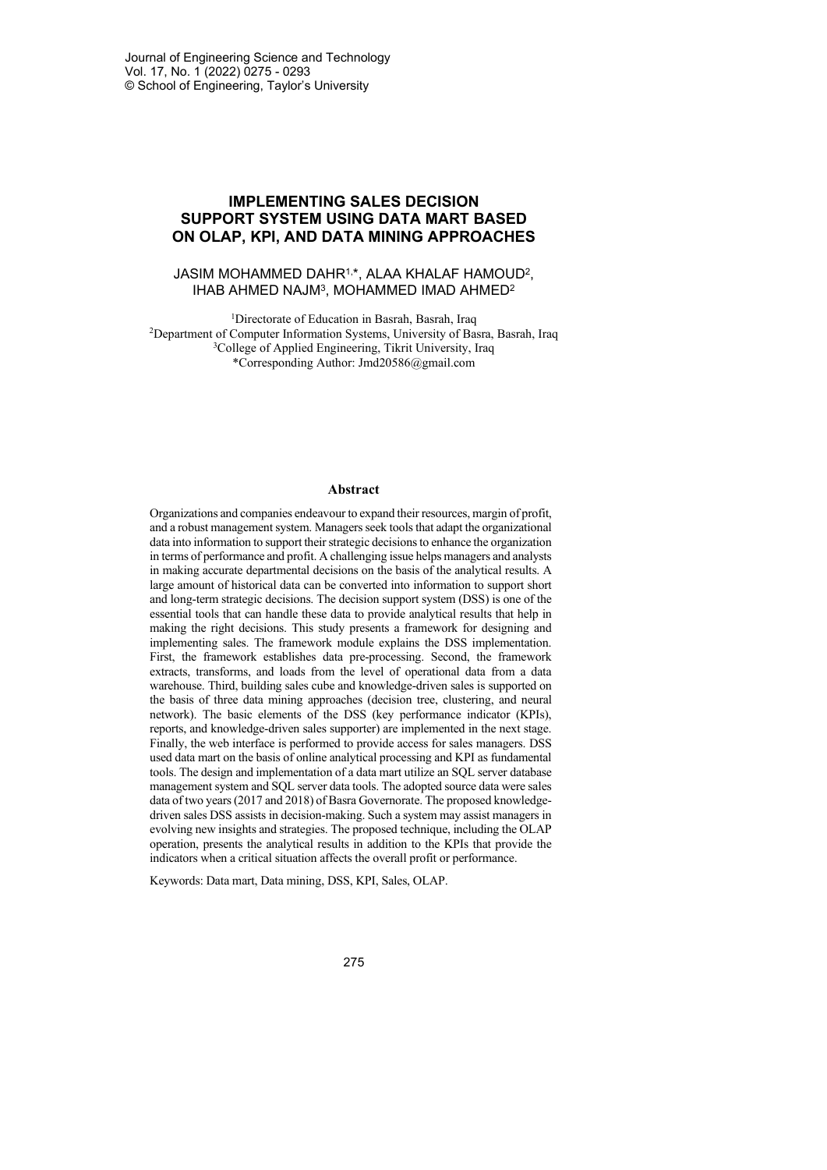# **IMPLEMENTING SALES DECISION SUPPORT SYSTEM USING DATA MART BASED ON OLAP, KPI, AND DATA MINING APPROACHES**

## JASIM MOHAMMED DAHR1,\*, ALAA KHALAF HAMOUD2, IHAB AHMED NAJM3, MOHAMMED IMAD AHMED2

<sup>1</sup>Directorate of Education in Basrah, Basrah, Iraq 2Department of Computer Information Systems, University of Basra, Basrah, Iraq <sup>3</sup>College of Applied Engineering, Tikrit University, Iraq \*Corresponding Author: Jmd20586@gmail.com

#### **Abstract**

Organizations and companies endeavour to expand their resources, margin of profit, and a robust management system. Managers seek tools that adapt the organizational data into information to support their strategic decisions to enhance the organization in terms of performance and profit. A challenging issue helps managers and analysts in making accurate departmental decisions on the basis of the analytical results. A large amount of historical data can be converted into information to support short and long-term strategic decisions. The decision support system (DSS) is one of the essential tools that can handle these data to provide analytical results that help in making the right decisions. This study presents a framework for designing and implementing sales. The framework module explains the DSS implementation. First, the framework establishes data pre-processing. Second, the framework extracts, transforms, and loads from the level of operational data from a data warehouse. Third, building sales cube and knowledge-driven sales is supported on the basis of three data mining approaches (decision tree, clustering, and neural network). The basic elements of the DSS (key performance indicator (KPIs), reports, and knowledge-driven sales supporter) are implemented in the next stage. Finally, the web interface is performed to provide access for sales managers. DSS used data mart on the basis of online analytical processing and KPI as fundamental tools. The design and implementation of a data mart utilize an SQL server database management system and SQL server data tools. The adopted source data were sales data of two years (2017 and 2018) of Basra Governorate. The proposed knowledgedriven sales DSS assists in decision-making. Such a system may assist managers in evolving new insights and strategies. The proposed technique, including the OLAP operation, presents the analytical results in addition to the KPIs that provide the indicators when a critical situation affects the overall profit or performance.

Keywords: Data mart, Data mining, DSS, KPI, Sales, OLAP.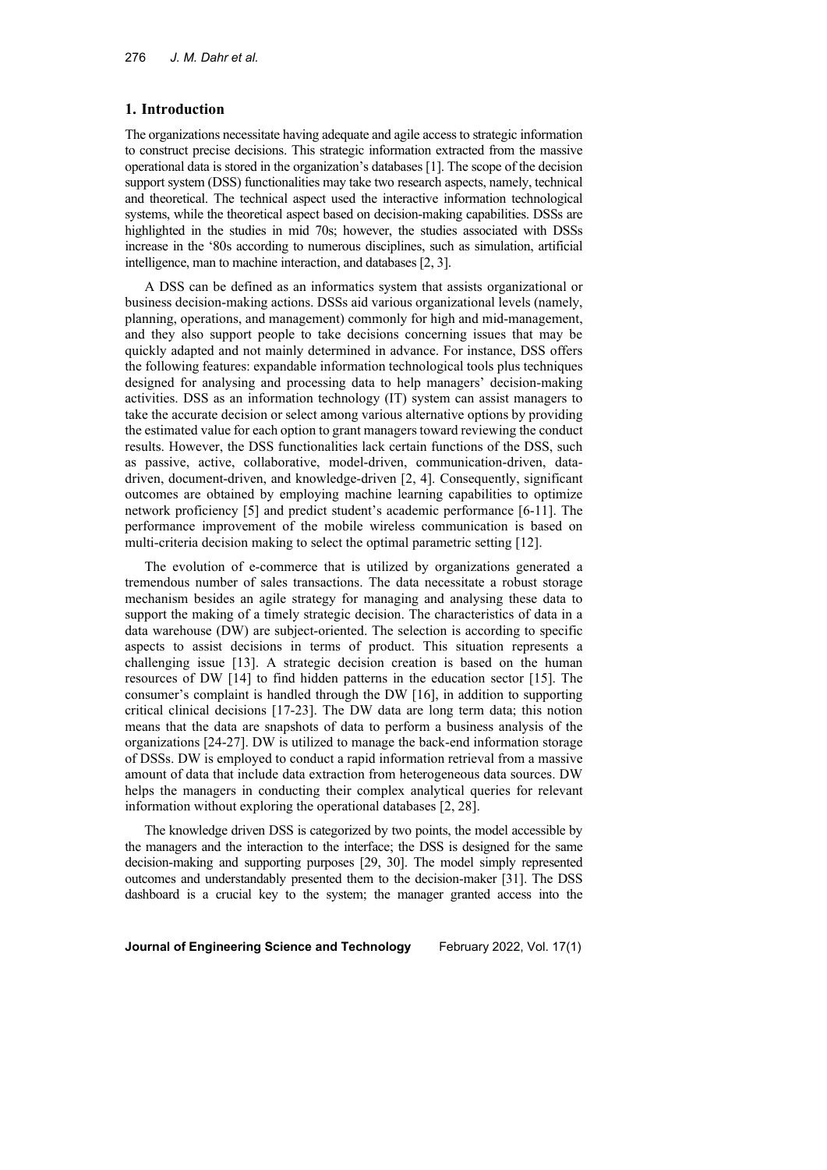### **1. Introduction**

The organizations necessitate having adequate and agile access to strategic information to construct precise decisions. This strategic information extracted from the massive operational data is stored in the organization's databases [1]. The scope of the decision support system (DSS) functionalities may take two research aspects, namely, technical and theoretical. The technical aspect used the interactive information technological systems, while the theoretical aspect based on decision-making capabilities. DSSs are highlighted in the studies in mid 70s; however, the studies associated with DSSs increase in the '80s according to numerous disciplines, such as simulation, artificial intelligence, man to machine interaction, and databases [2, 3].

A DSS can be defined as an informatics system that assists organizational or business decision-making actions. DSSs aid various organizational levels (namely, planning, operations, and management) commonly for high and mid-management, and they also support people to take decisions concerning issues that may be quickly adapted and not mainly determined in advance. For instance, DSS offers the following features: expandable information technological tools plus techniques designed for analysing and processing data to help managers' decision-making activities. DSS as an information technology (IT) system can assist managers to take the accurate decision or select among various alternative options by providing the estimated value for each option to grant managers toward reviewing the conduct results. However, the DSS functionalities lack certain functions of the DSS, such as passive, active, collaborative, model-driven, communication-driven, datadriven, document-driven, and knowledge-driven [2, 4]. Consequently, significant outcomes are obtained by employing machine learning capabilities to optimize network proficiency [5] and predict student's academic performance [6-11]. The performance improvement of the mobile wireless communication is based on multi-criteria decision making to select the optimal parametric setting [12].

The evolution of e-commerce that is utilized by organizations generated a tremendous number of sales transactions. The data necessitate a robust storage mechanism besides an agile strategy for managing and analysing these data to support the making of a timely strategic decision. The characteristics of data in a data warehouse (DW) are subject-oriented. The selection is according to specific aspects to assist decisions in terms of product. This situation represents a challenging issue [13]. A strategic decision creation is based on the human resources of DW [14] to find hidden patterns in the education sector [15]. The consumer's complaint is handled through the DW [16], in addition to supporting critical clinical decisions [17-23]. The DW data are long term data; this notion means that the data are snapshots of data to perform a business analysis of the organizations [24-27]. DW is utilized to manage the back-end information storage of DSSs. DW is employed to conduct a rapid information retrieval from a massive amount of data that include data extraction from heterogeneous data sources. DW helps the managers in conducting their complex analytical queries for relevant information without exploring the operational databases [2, 28].

The knowledge driven DSS is categorized by two points, the model accessible by the managers and the interaction to the interface; the DSS is designed for the same decision-making and supporting purposes [29, 30]. The model simply represented outcomes and understandably presented them to the decision-maker [31]. The DSS dashboard is a crucial key to the system; the manager granted access into the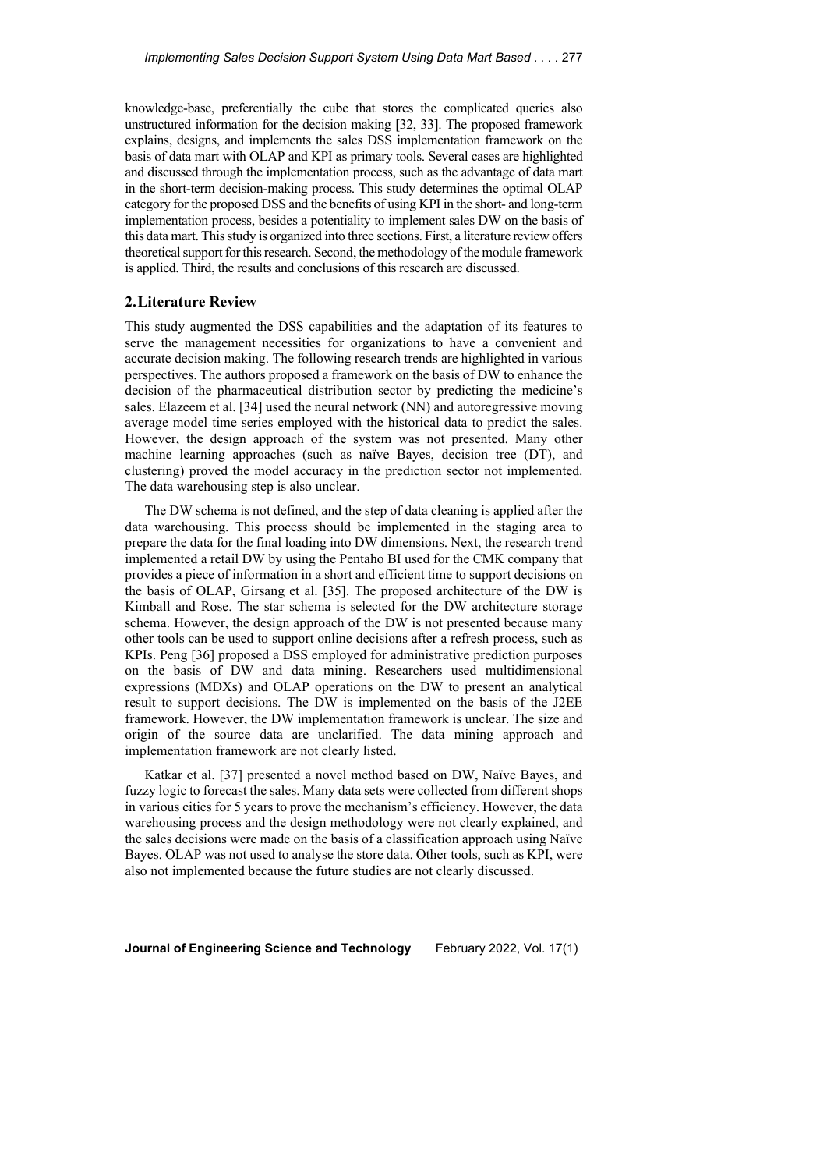knowledge-base, preferentially the cube that stores the complicated queries also unstructured information for the decision making [32, 33]. The proposed framework explains, designs, and implements the sales DSS implementation framework on the basis of data mart with OLAP and KPI as primary tools. Several cases are highlighted and discussed through the implementation process, such as the advantage of data mart in the short-term decision-making process. This study determines the optimal OLAP category for the proposed DSS and the benefits of using KPI in the short- and long-term implementation process, besides a potentiality to implement sales DW on the basis of this data mart. This study is organized into three sections. First, a literature review offers theoretical support for this research. Second, the methodology of the module framework is applied. Third, the results and conclusions of this research are discussed.

## **2.Literature Review**

This study augmented the DSS capabilities and the adaptation of its features to serve the management necessities for organizations to have a convenient and accurate decision making. The following research trends are highlighted in various perspectives. The authors proposed a framework on the basis of DW to enhance the decision of the pharmaceutical distribution sector by predicting the medicine's sales. Elazeem et al. [34] used the neural network (NN) and autoregressive moving average model time series employed with the historical data to predict the sales. However, the design approach of the system was not presented. Many other machine learning approaches (such as naïve Bayes, decision tree (DT), and clustering) proved the model accuracy in the prediction sector not implemented. The data warehousing step is also unclear.

The DW schema is not defined, and the step of data cleaning is applied after the data warehousing. This process should be implemented in the staging area to prepare the data for the final loading into DW dimensions. Next, the research trend implemented a retail DW by using the Pentaho BI used for the CMK company that provides a piece of information in a short and efficient time to support decisions on the basis of OLAP, Girsang et al. [35]. The proposed architecture of the DW is Kimball and Rose. The star schema is selected for the DW architecture storage schema. However, the design approach of the DW is not presented because many other tools can be used to support online decisions after a refresh process, such as KPIs. Peng [36] proposed a DSS employed for administrative prediction purposes on the basis of DW and data mining. Researchers used multidimensional expressions (MDXs) and OLAP operations on the DW to present an analytical result to support decisions. The DW is implemented on the basis of the J2EE framework. However, the DW implementation framework is unclear. The size and origin of the source data are unclarified. The data mining approach and implementation framework are not clearly listed.

Katkar et al. [37] presented a novel method based on DW, Naïve Bayes, and fuzzy logic to forecast the sales. Many data sets were collected from different shops in various cities for 5 years to prove the mechanism's efficiency. However, the data warehousing process and the design methodology were not clearly explained, and the sales decisions were made on the basis of a classification approach using Naïve Bayes. OLAP was not used to analyse the store data. Other tools, such as KPI, were also not implemented because the future studies are not clearly discussed.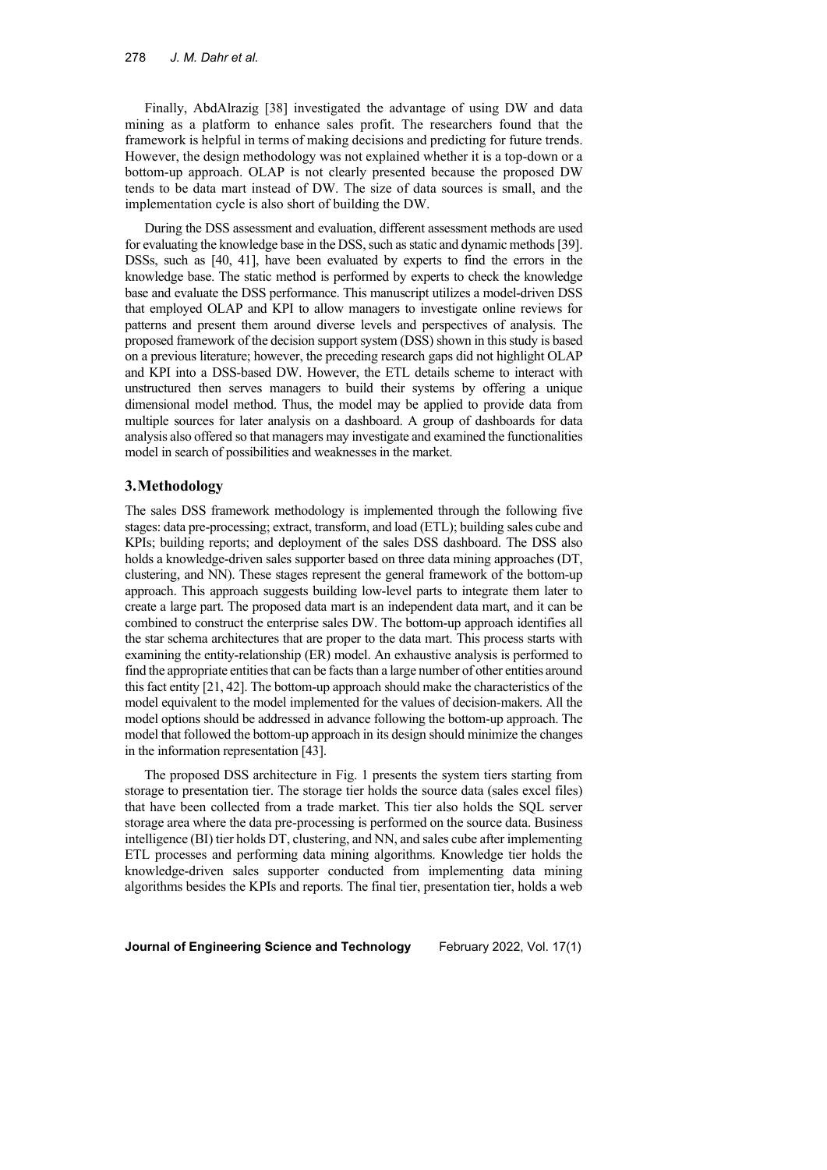Finally, AbdAlrazig [38] investigated the advantage of using DW and data mining as a platform to enhance sales profit. The researchers found that the framework is helpful in terms of making decisions and predicting for future trends. However, the design methodology was not explained whether it is a top-down or a bottom-up approach. OLAP is not clearly presented because the proposed DW tends to be data mart instead of DW. The size of data sources is small, and the implementation cycle is also short of building the DW.

During the DSS assessment and evaluation, different assessment methods are used for evaluating the knowledge base in the DSS, such as static and dynamic methods [39]. DSSs, such as [40, 41], have been evaluated by experts to find the errors in the knowledge base. The static method is performed by experts to check the knowledge base and evaluate the DSS performance. This manuscript utilizes a model-driven DSS that employed OLAP and KPI to allow managers to investigate online reviews for patterns and present them around diverse levels and perspectives of analysis. The proposed framework of the decision support system (DSS) shown in this study is based on a previous literature; however, the preceding research gaps did not highlight OLAP and KPI into a DSS-based DW. However, the ETL details scheme to interact with unstructured then serves managers to build their systems by offering a unique dimensional model method. Thus, the model may be applied to provide data from multiple sources for later analysis on a dashboard. A group of dashboards for data analysis also offered so that managers may investigate and examined the functionalities model in search of possibilities and weaknesses in the market.

#### **3.Methodology**

The sales DSS framework methodology is implemented through the following five stages: data pre-processing; extract, transform, and load (ETL); building sales cube and KPIs; building reports; and deployment of the sales DSS dashboard. The DSS also holds a knowledge-driven sales supporter based on three data mining approaches (DT, clustering, and NN). These stages represent the general framework of the bottom-up approach. This approach suggests building low-level parts to integrate them later to create a large part. The proposed data mart is an independent data mart, and it can be combined to construct the enterprise sales DW. The bottom-up approach identifies all the star schema architectures that are proper to the data mart. This process starts with examining the entity-relationship (ER) model. An exhaustive analysis is performed to find the appropriate entities that can be facts than a large number of other entities around this fact entity [21, 42]. The bottom-up approach should make the characteristics of the model equivalent to the model implemented for the values of decision-makers. All the model options should be addressed in advance following the bottom-up approach. The model that followed the bottom-up approach in its design should minimize the changes in the information representation [43].

The proposed DSS architecture in Fig. 1 presents the system tiers starting from storage to presentation tier. The storage tier holds the source data (sales excel files) that have been collected from a trade market. This tier also holds the SQL server storage area where the data pre-processing is performed on the source data. Business intelligence (BI) tier holds DT, clustering, and NN, and sales cube after implementing ETL processes and performing data mining algorithms. Knowledge tier holds the knowledge-driven sales supporter conducted from implementing data mining algorithms besides the KPIs and reports. The final tier, presentation tier, holds a web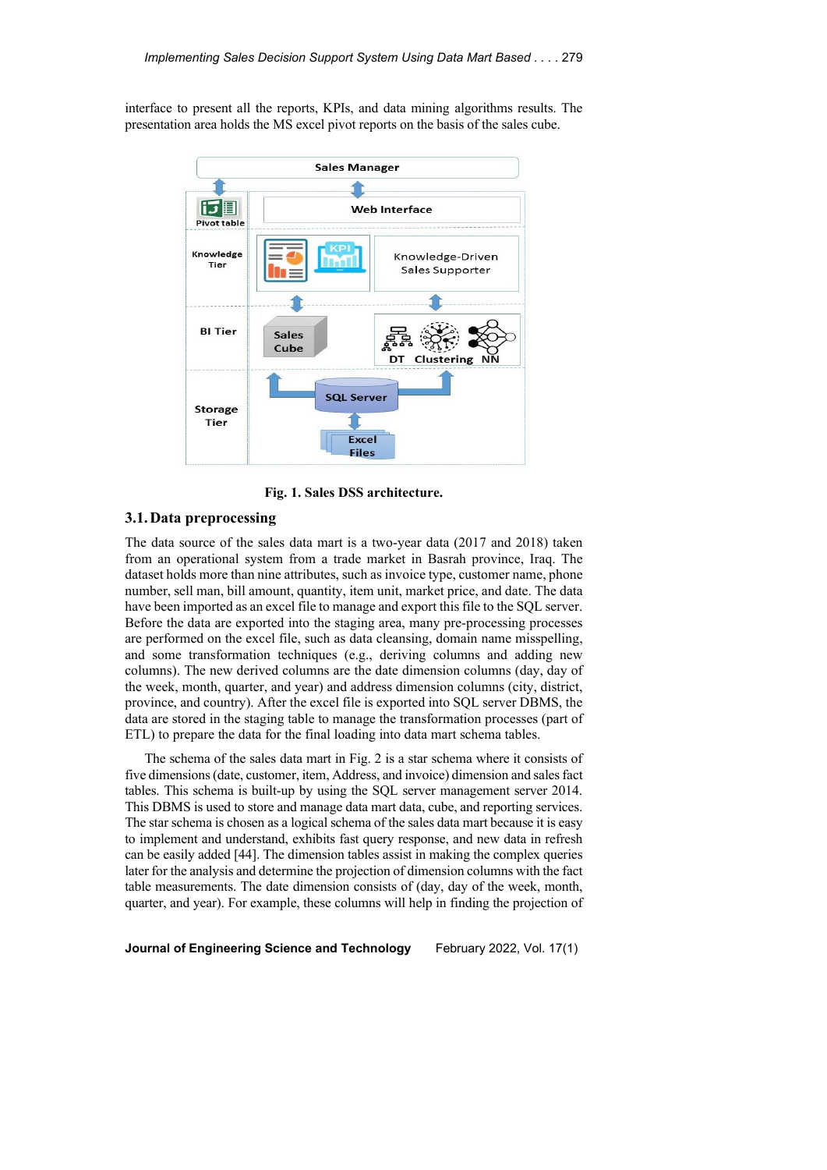interface to present all the reports, KPIs, and data mining algorithms results. The presentation area holds the MS excel pivot reports on the basis of the sales cube.



**Fig. 1. Sales DSS architecture.**

### **3.1.Data preprocessing**

The data source of the sales data mart is a two-year data (2017 and 2018) taken from an operational system from a trade market in Basrah province, Iraq. The dataset holds more than nine attributes, such as invoice type, customer name, phone number, sell man, bill amount, quantity, item unit, market price, and date. The data have been imported as an excel file to manage and export this file to the SQL server. Before the data are exported into the staging area, many pre-processing processes are performed on the excel file, such as data cleansing, domain name misspelling, and some transformation techniques (e.g., deriving columns and adding new columns). The new derived columns are the date dimension columns (day, day of the week, month, quarter, and year) and address dimension columns (city, district, province, and country). After the excel file is exported into SQL server DBMS, the data are stored in the staging table to manage the transformation processes (part of ETL) to prepare the data for the final loading into data mart schema tables.

The schema of the sales data mart in Fig. 2 is a star schema where it consists of five dimensions (date, customer, item, Address, and invoice) dimension and sales fact tables. This schema is built-up by using the SQL server management server 2014. This DBMS is used to store and manage data mart data, cube, and reporting services. The star schema is chosen as a logical schema of the sales data mart because it is easy to implement and understand, exhibits fast query response, and new data in refresh can be easily added [44]. The dimension tables assist in making the complex queries later for the analysis and determine the projection of dimension columns with the fact table measurements. The date dimension consists of (day, day of the week, month, quarter, and year). For example, these columns will help in finding the projection of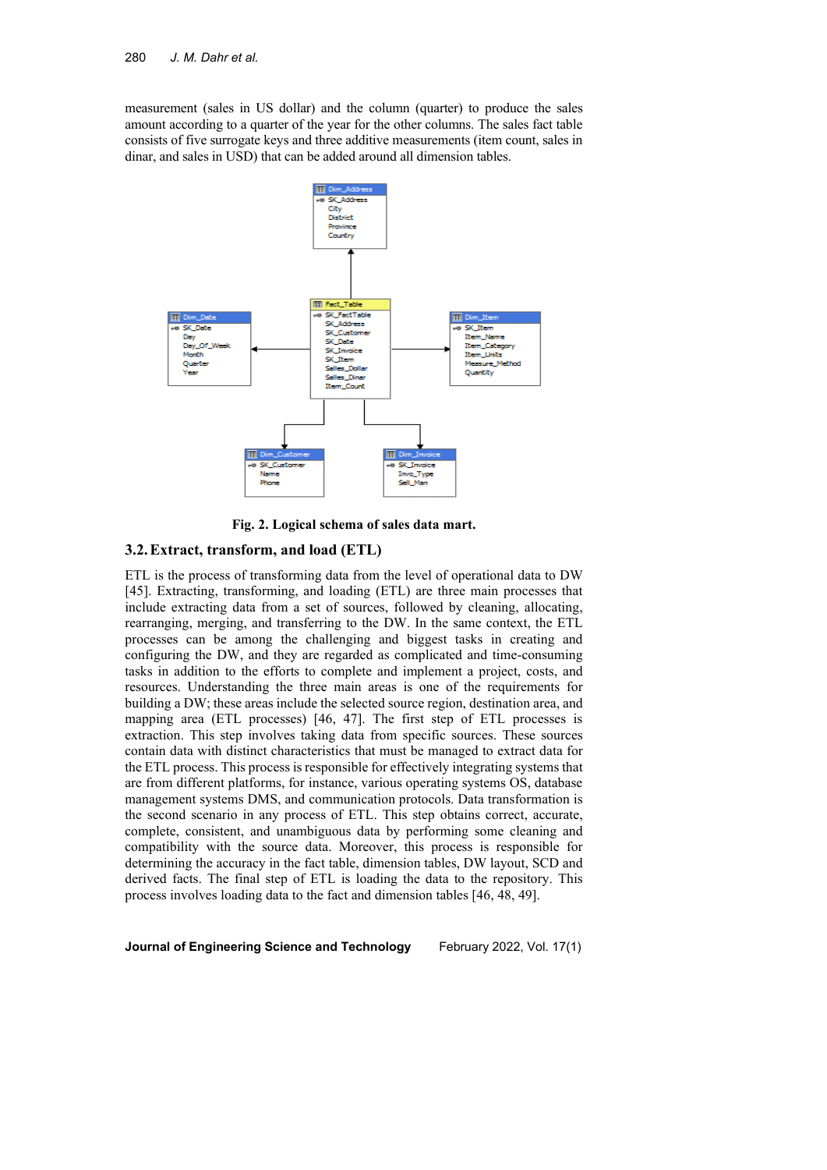measurement (sales in US dollar) and the column (quarter) to produce the sales amount according to a quarter of the year for the other columns. The sales fact table consists of five surrogate keys and three additive measurements (item count, sales in dinar, and sales in USD) that can be added around all dimension tables.



**Fig. 2. Logical schema of sales data mart.**

#### **3.2.Extract, transform, and load (ETL)**

ETL is the process of transforming data from the level of operational data to DW [45]. Extracting, transforming, and loading (ETL) are three main processes that include extracting data from a set of sources, followed by cleaning, allocating, rearranging, merging, and transferring to the DW. In the same context, the ETL processes can be among the challenging and biggest tasks in creating and configuring the DW, and they are regarded as complicated and time-consuming tasks in addition to the efforts to complete and implement a project, costs, and resources. Understanding the three main areas is one of the requirements for building a DW; these areas include the selected source region, destination area, and mapping area (ETL processes) [46, 47]. The first step of ETL processes is extraction. This step involves taking data from specific sources. These sources contain data with distinct characteristics that must be managed to extract data for the ETL process. This process is responsible for effectively integrating systems that are from different platforms, for instance, various operating systems OS, database management systems DMS, and communication protocols. Data transformation is the second scenario in any process of ETL. This step obtains correct, accurate, complete, consistent, and unambiguous data by performing some cleaning and compatibility with the source data. Moreover, this process is responsible for determining the accuracy in the fact table, dimension tables, DW layout, SCD and derived facts. The final step of ETL is loading the data to the repository. This process involves loading data to the fact and dimension tables [46, 48, 49].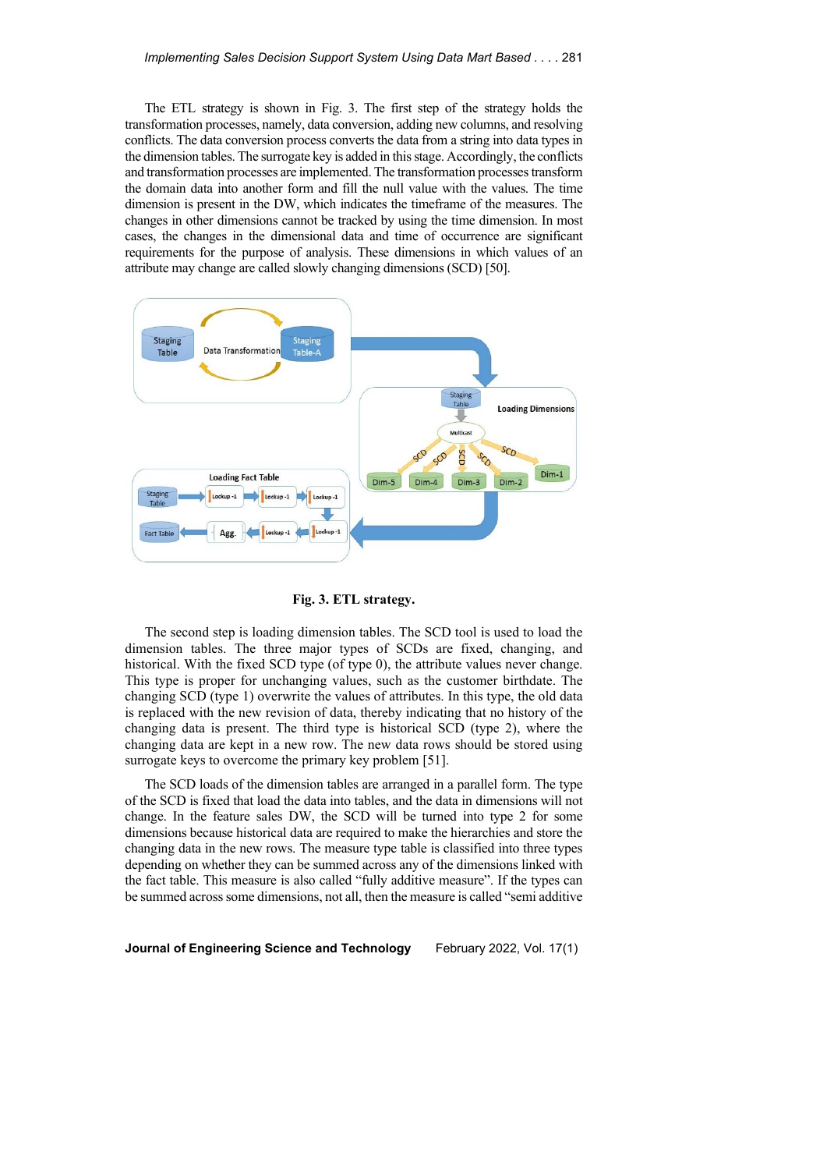The ETL strategy is shown in Fig. 3. The first step of the strategy holds the transformation processes, namely, data conversion, adding new columns, and resolving conflicts. The data conversion process converts the data from a string into data types in the dimension tables. The surrogate key is added in this stage. Accordingly, the conflicts and transformation processes are implemented. The transformation processes transform the domain data into another form and fill the null value with the values. The time dimension is present in the DW, which indicates the timeframe of the measures. The changes in other dimensions cannot be tracked by using the time dimension. In most cases, the changes in the dimensional data and time of occurrence are significant requirements for the purpose of analysis. These dimensions in which values of an attribute may change are called slowly changing dimensions (SCD) [50].



**Fig. 3. ETL strategy.**

The second step is loading dimension tables. The SCD tool is used to load the dimension tables. The three major types of SCDs are fixed, changing, and historical. With the fixed SCD type (of type 0), the attribute values never change. This type is proper for unchanging values, such as the customer birthdate. The changing SCD (type 1) overwrite the values of attributes. In this type, the old data is replaced with the new revision of data, thereby indicating that no history of the changing data is present. The third type is historical SCD (type 2), where the changing data are kept in a new row. The new data rows should be stored using surrogate keys to overcome the primary key problem [51].

The SCD loads of the dimension tables are arranged in a parallel form. The type of the SCD is fixed that load the data into tables, and the data in dimensions will not change. In the feature sales DW, the SCD will be turned into type 2 for some dimensions because historical data are required to make the hierarchies and store the changing data in the new rows. The measure type table is classified into three types depending on whether they can be summed across any of the dimensions linked with the fact table. This measure is also called "fully additive measure". If the types can be summed across some dimensions, not all, then the measure is called "semi additive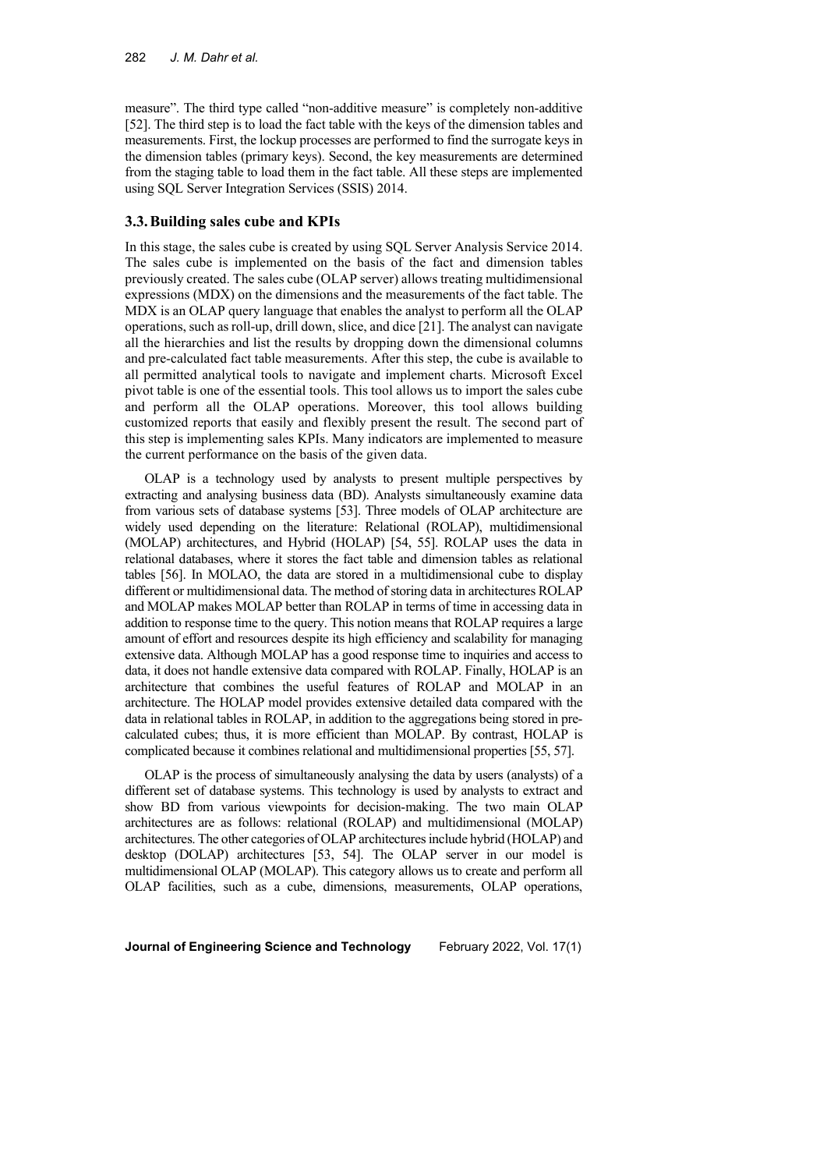measure". The third type called "non-additive measure" is completely non-additive [52]. The third step is to load the fact table with the keys of the dimension tables and measurements. First, the lockup processes are performed to find the surrogate keys in the dimension tables (primary keys). Second, the key measurements are determined from the staging table to load them in the fact table. All these steps are implemented using SQL Server Integration Services (SSIS) 2014.

### **3.3.Building sales cube and KPIs**

In this stage, the sales cube is created by using SQL Server Analysis Service 2014. The sales cube is implemented on the basis of the fact and dimension tables previously created. The sales cube (OLAP server) allows treating multidimensional expressions (MDX) on the dimensions and the measurements of the fact table. The MDX is an OLAP query language that enables the analyst to perform all the OLAP operations, such as roll-up, drill down, slice, and dice [21]. The analyst can navigate all the hierarchies and list the results by dropping down the dimensional columns and pre-calculated fact table measurements. After this step, the cube is available to all permitted analytical tools to navigate and implement charts. Microsoft Excel pivot table is one of the essential tools. This tool allows us to import the sales cube and perform all the OLAP operations. Moreover, this tool allows building customized reports that easily and flexibly present the result. The second part of this step is implementing sales KPIs. Many indicators are implemented to measure the current performance on the basis of the given data.

OLAP is a technology used by analysts to present multiple perspectives by extracting and analysing business data (BD). Analysts simultaneously examine data from various sets of database systems [53]. Three models of OLAP architecture are widely used depending on the literature: Relational (ROLAP), multidimensional (MOLAP) architectures, and Hybrid (HOLAP) [54, 55]. ROLAP uses the data in relational databases, where it stores the fact table and dimension tables as relational tables [56]. In MOLAO, the data are stored in a multidimensional cube to display different or multidimensional data. The method of storing data in architectures ROLAP and MOLAP makes MOLAP better than ROLAP in terms of time in accessing data in addition to response time to the query. This notion means that ROLAP requires a large amount of effort and resources despite its high efficiency and scalability for managing extensive data. Although MOLAP has a good response time to inquiries and access to data, it does not handle extensive data compared with ROLAP. Finally, HOLAP is an architecture that combines the useful features of ROLAP and MOLAP in an architecture. The HOLAP model provides extensive detailed data compared with the data in relational tables in ROLAP, in addition to the aggregations being stored in precalculated cubes; thus, it is more efficient than MOLAP. By contrast, HOLAP is complicated because it combines relational and multidimensional properties [55, 57].

OLAP is the process of simultaneously analysing the data by users (analysts) of a different set of database systems. This technology is used by analysts to extract and show BD from various viewpoints for decision-making. The two main OLAP architectures are as follows: relational (ROLAP) and multidimensional (MOLAP) architectures. The other categories of OLAP architectures include hybrid (HOLAP) and desktop (DOLAP) architectures [53, 54]. The OLAP server in our model is multidimensional OLAP (MOLAP). This category allows us to create and perform all OLAP facilities, such as a cube, dimensions, measurements, OLAP operations,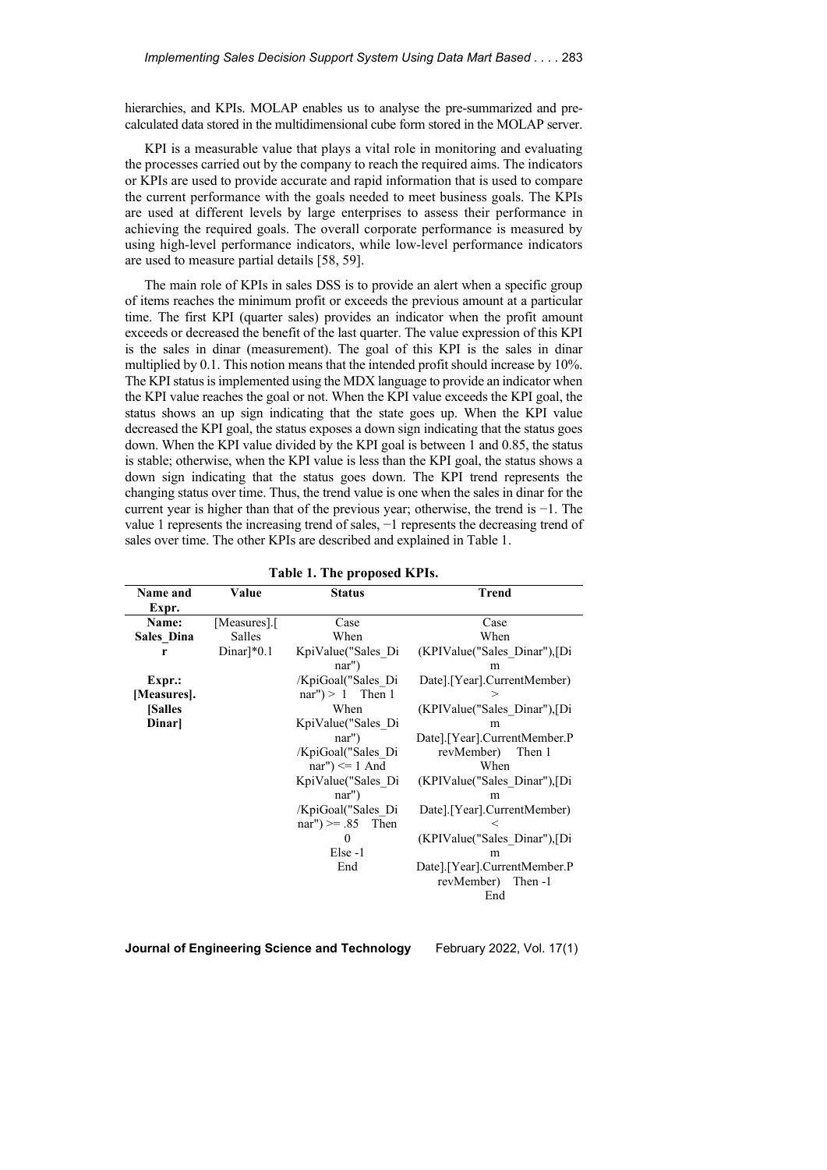hierarchies, and KPIs. MOLAP enables us to analyse the pre-summarized and precalculated data stored in the multidimensional cube form stored in the MOLAP server.

KPI is a measurable value that plays a vital role in monitoring and evaluating the processes carried out by the company to reach the required aims. The indicators or KPIs are used to provide accurate and rapid information that is used to compare the current performance with the goals needed to meet business goals. The KPIs are used at different levels by large enterprises to assess their performance in achieving the required goals. The overall corporate performance is measured by using high-level performance indicators, while low-level performance indicators are used to measure partial details [58, 59].

The main role of KPIs in sales DSS is to provide an alert when a specific group of items reaches the minimum profit or exceeds the previous amount at a particular time. The first KPI (quarter sales) provides an indicator when the profit amount exceeds or decreased the benefit of the last quarter. The value expression of this KPI is the sales in dinar (measurement). The goal of this KPI is the sales in dinar multiplied by 0.1. This notion means that the intended profit should increase by 10%. The KPI status is implemented using the MDX language to provide an indicator when the KPI value reaches the goal or not. When the KPI value exceeds the KPI goal, the status shows an up sign indicating that the state goes up. When the KPI value decreased the KPI goal, the status exposes a down sign indicating that the status goes down. When the KPI value divided by the KPI goal is between 1 and 0.85, the status is stable; otherwise, when the KPI value is less than the KPI goal, the status shows a down sign indicating that the status goes down. The KPI trend represents the changing status over time. Thus, the trend value is one when the sales in dinar for the current year is higher than that of the previous year; otherwise, the trend is −1. The value 1 represents the increasing trend of sales, −1 represents the decreasing trend of sales over time. The other KPIs are described and explained in Table 1.

| Name and      | Value                    | <b>Status</b>           | Trend                         |  |
|---------------|--------------------------|-------------------------|-------------------------------|--|
| Expr.         |                          |                         |                               |  |
| Name:         | [Measures].[             | Case<br>Case            |                               |  |
| Sales Dina    | Salles                   | When<br>When            |                               |  |
| r             | $Dinar]$ <sup>*0.1</sup> | KpiValue("Sales Di      | (KPIValue("Sales Dinar"), [Di |  |
|               |                          | $nar''$ )               | m                             |  |
| Expr.:        |                          | /KpiGoal("Sales Di      | Date].[Year].CurrentMember)   |  |
| [Measures].   |                          | nar") > $1$ Then 1<br>⋗ |                               |  |
| <b>Salles</b> |                          | When                    | (KPIValue("Sales_Dinar"),[Di  |  |
| Dinar         |                          | KpiValue("Sales Di      | m                             |  |
|               |                          | $nar''$ )               | Date].[Year].CurrentMember.P  |  |
|               |                          | /KpiGoal("Sales Di      | revMember)<br>Then 1          |  |
|               |                          | nar") $\leq 1$ And      | When                          |  |
|               |                          | KpiValue("Sales Di      | (KPIValue("Sales Dinar"), [Di |  |
|               |                          | $nar'$ )                | m                             |  |
|               |                          | /KpiGoal("Sales Di      | Date].[Year].CurrentMember)   |  |
|               |                          | $nar''$ ) >= .85 Then   | $\,<$                         |  |
|               |                          | 0                       | (KPIValue("Sales Dinar"),[Di  |  |
|               |                          | Else-1                  | m                             |  |
|               |                          | End                     | Date].[Year].CurrentMember.P  |  |
|               |                          |                         | revMember) Then -1            |  |
|               |                          |                         | End                           |  |

**Table 1. The proposed KPIs.**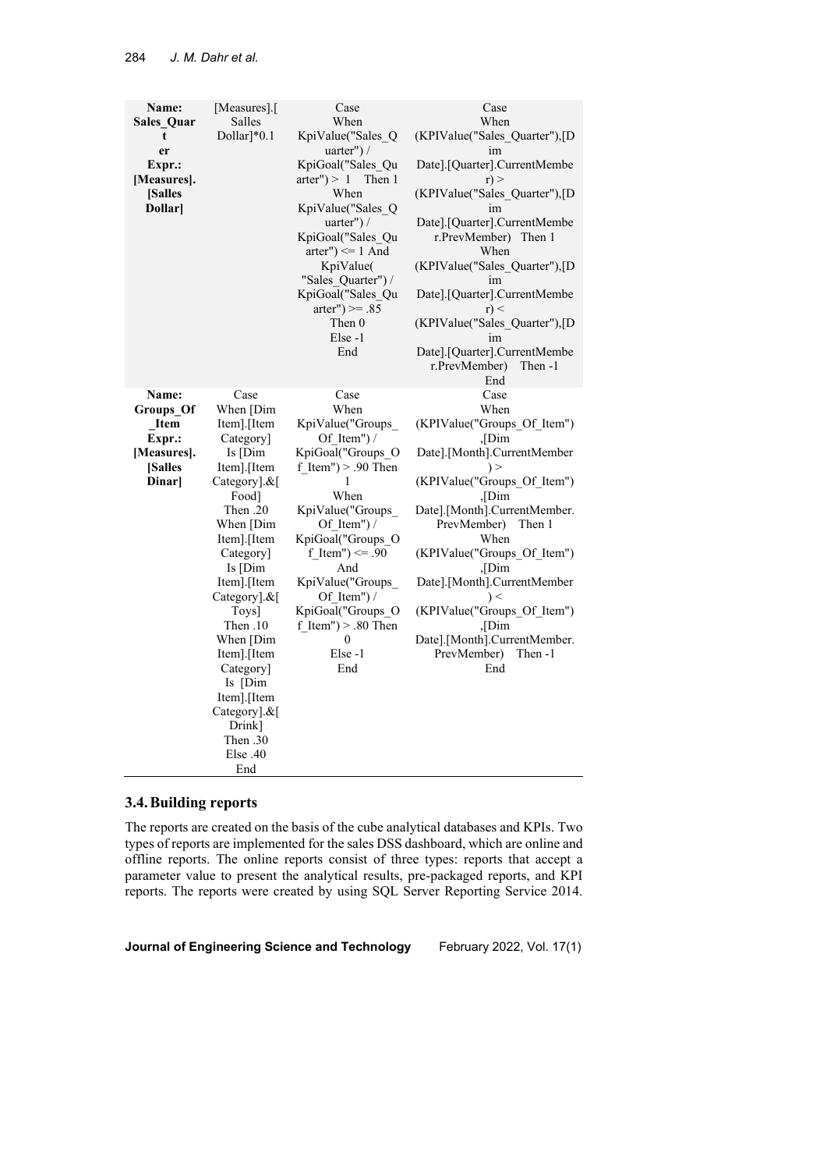| Name:<br>Sales_Quar<br>t<br>er<br>Expr.:<br>[Measures].<br><b>Salles</b><br>Dollar]   | [Measures].<br>Salles<br>$Dollar$ <sup>*</sup> $0.1$                                                                                                                                                                                                                                                                                                        | Case<br>When<br>KpiValue("Sales Q<br>uarter" $)/$<br>KpiGoal("Sales Qu<br>arter" $> 1$ Then 1<br>When<br>KpiValue("Sales Q<br>uarter" $)/$<br>KpiGoal("Sales Qu<br>arter") $\leq 1$ And<br>KpiValue(<br>"Sales Quarter") /<br>KpiGoal("Sales_Qu<br>$\arter") >= .85$<br>Then 0<br>Else-1<br>End                | Case<br>When<br>(KPIValue("Sales_Quarter"),[D<br>im<br>Date].[Quarter].CurrentMembe<br>$r$ ) ><br>(KPIValue("Sales Quarter"),[D<br>im<br>Date].[Quarter].CurrentMembe<br>r.PrevMember) Then 1<br>When<br>(KPIValue("Sales_Quarter"),[D<br>im<br>Date].[Quarter].CurrentMembe<br>$r$ $\leq$<br>(KPIValue("Sales Quarter"),[D<br>im<br>Date].[Quarter].CurrentMembe<br>r.PrevMember)<br>Then -1<br>End     |
|---------------------------------------------------------------------------------------|-------------------------------------------------------------------------------------------------------------------------------------------------------------------------------------------------------------------------------------------------------------------------------------------------------------------------------------------------------------|----------------------------------------------------------------------------------------------------------------------------------------------------------------------------------------------------------------------------------------------------------------------------------------------------------------|----------------------------------------------------------------------------------------------------------------------------------------------------------------------------------------------------------------------------------------------------------------------------------------------------------------------------------------------------------------------------------------------------------|
| Name:<br>Groups_Of<br><b>Item</b><br>Expr.:<br>[Measures].<br><b>Salles</b><br>Dinar] | Case<br>When [Dim<br>Item].[Item<br>Category]<br>$Is$ [Dim<br>Item].[Item<br>$CategoricalN$ ]. $\&$<br>Food]<br>Then .20<br>When [Dim<br>Item].[Item<br>Category]<br>Is [Dim<br>Item].[Item<br>Category].&[<br>Toys]<br>10. Then<br>When [Dim<br>Item].[Item<br>Category]<br>Is [Dim<br>Item].[Item<br>Category].&[<br>Drink]<br>Then .30<br>Else.40<br>End | Case<br>When<br>KpiValue("Groups_<br>Of Item" $)/$<br>KpiGoal("Groups_O<br>f Item" $) > .90$ Then<br>1<br>When<br>KpiValue("Groups_<br>Of Item") /<br>KpiGoal("Groups O<br>f Item") $\leq 90$<br>And<br>KpiValue("Groups<br>Of Item" $)/$<br>KpiGoal("Groups O<br>f Item" $) > .80$ Then<br>0<br>Else-1<br>End | Case<br>When<br>(KPIValue("Groups_Of_Item")<br>$\sqrt{\text{Dim}}$<br>Date].[Month].CurrentMember<br>(KPIValue("Groups Of Item")<br>, Dim<br>Date].[Month].CurrentMember.<br>PrevMember)<br>Then 1<br>When<br>(KPIValue("Groups Of Item")<br>.Dim<br>Date].[Month].CurrentMember<br>$\vert$ $<$<br>(KPIValue("Groups Of Item")<br>,[Dim<br>Date].[Month].CurrentMember.<br>PrevMember)<br>Then -1<br>End |

# **3.4.Building reports**

The reports are created on the basis of the cube analytical databases and KPIs. Two types of reports are implemented for the sales DSS dashboard, which are online and offline reports. The online reports consist of three types: reports that accept a parameter value to present the analytical results, pre-packaged reports, and KPI reports. The reports were created by using SQL Server Reporting Service 2014.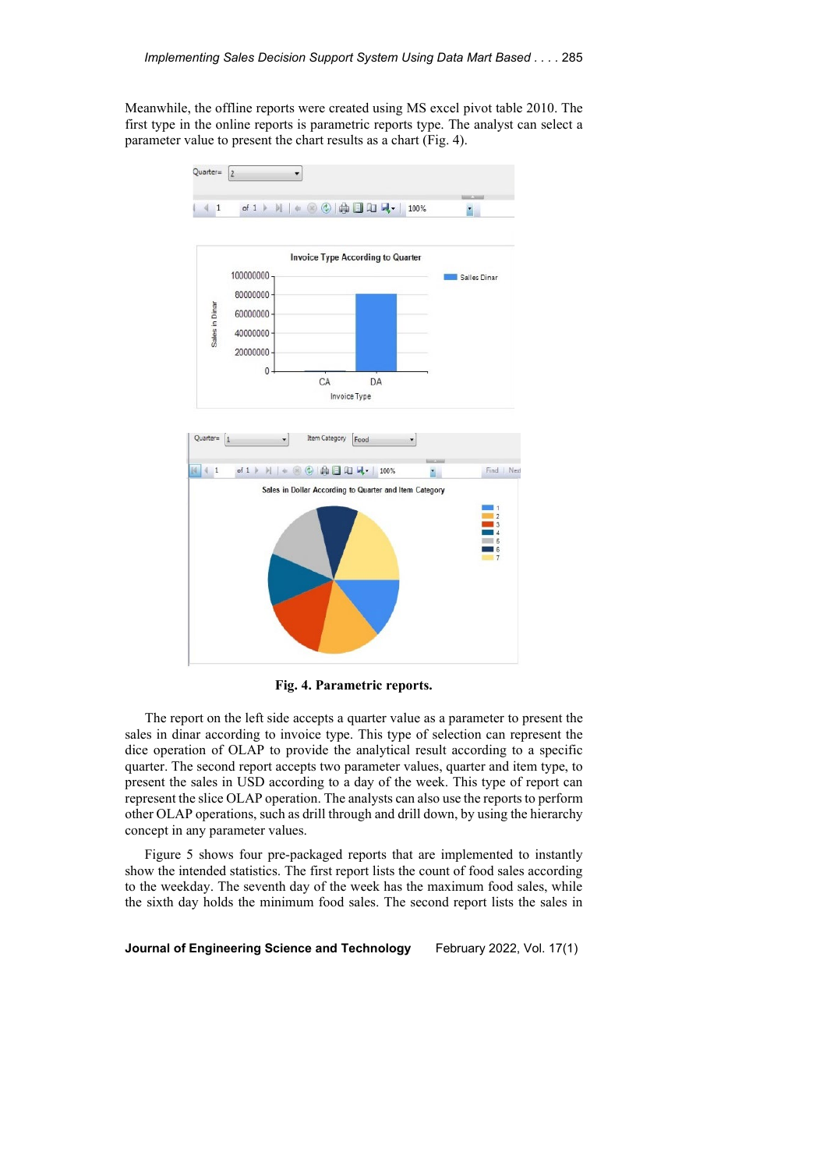Meanwhile, the offline reports were created using MS excel pivot table 2010. The first type in the online reports is parametric reports type. The analyst can select a parameter value to present the chart results as a chart (Fig. 4).



**Fig. 4. Parametric reports.**

The report on the left side accepts a quarter value as a parameter to present the sales in dinar according to invoice type. This type of selection can represent the dice operation of OLAP to provide the analytical result according to a specific quarter. The second report accepts two parameter values, quarter and item type, to present the sales in USD according to a day of the week. This type of report can represent the slice OLAP operation. The analysts can also use the reports to perform other OLAP operations, such as drill through and drill down, by using the hierarchy concept in any parameter values.

Figure 5 shows four pre-packaged reports that are implemented to instantly show the intended statistics. The first report lists the count of food sales according to the weekday. The seventh day of the week has the maximum food sales, while the sixth day holds the minimum food sales. The second report lists the sales in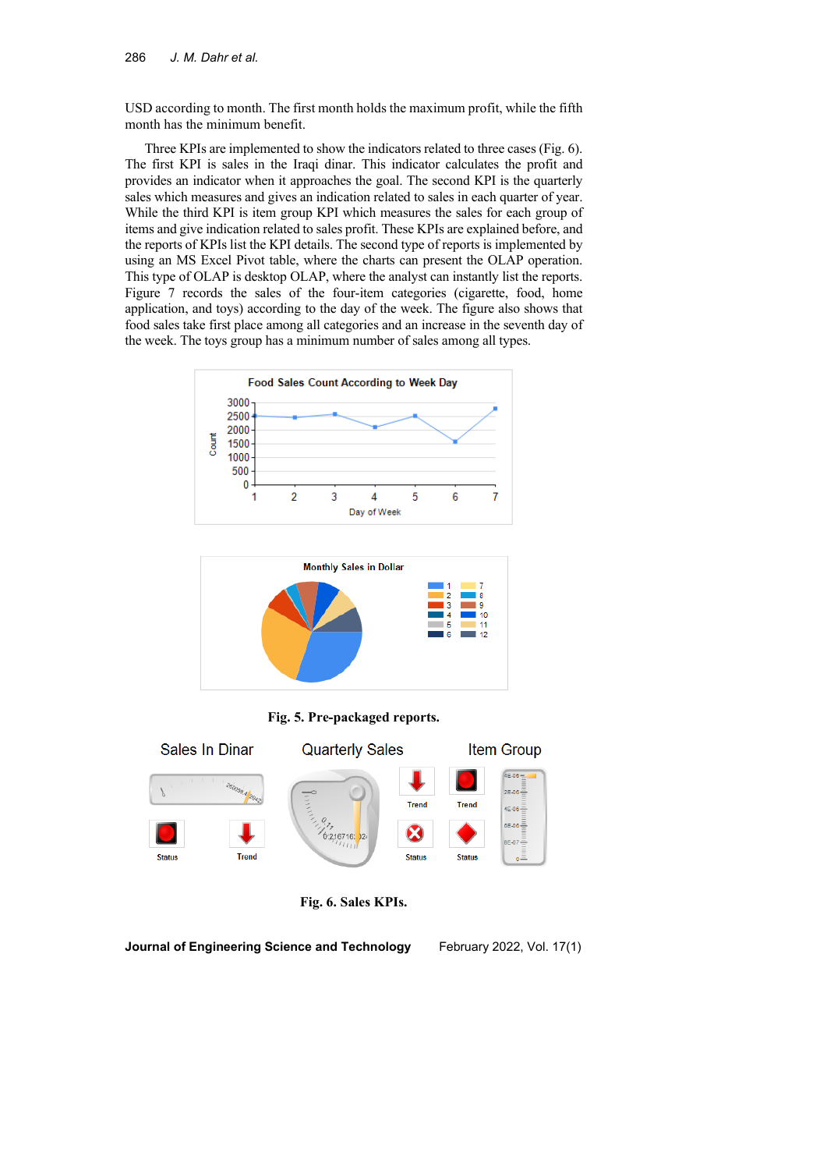USD according to month. The first month holds the maximum profit, while the fifth month has the minimum benefit.

Three KPIs are implemented to show the indicators related to three cases (Fig. 6). The first KPI is sales in the Iraqi dinar. This indicator calculates the profit and provides an indicator when it approaches the goal. The second KPI is the quarterly sales which measures and gives an indication related to sales in each quarter of year. While the third KPI is item group KPI which measures the sales for each group of items and give indication related to sales profit. These KPIs are explained before, and the reports of KPIs list the KPI details. The second type of reports is implemented by using an MS Excel Pivot table, where the charts can present the OLAP operation. This type of OLAP is desktop OLAP, where the analyst can instantly list the reports. Figure 7 records the sales of the four-item categories (cigarette, food, home application, and toys) according to the day of the week. The figure also shows that food sales take first place among all categories and an increase in the seventh day of the week. The toys group has a minimum number of sales among all types.





**Fig. 5. Pre-packaged reports.**



**Fig. 6. Sales KPIs.**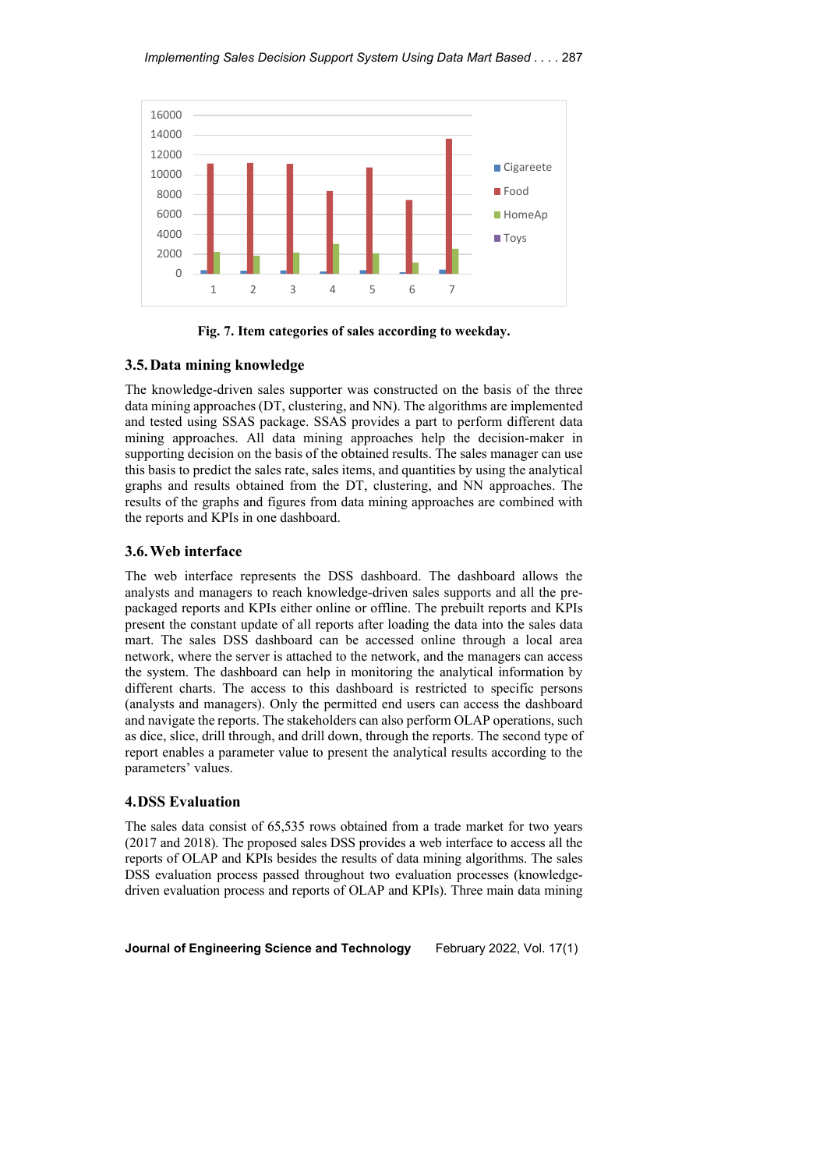

**Fig. 7. Item categories of sales according to weekday.**

## **3.5.Data mining knowledge**

The knowledge-driven sales supporter was constructed on the basis of the three data mining approaches (DT, clustering, and NN). The algorithms are implemented and tested using SSAS package. SSAS provides a part to perform different data mining approaches. All data mining approaches help the decision-maker in supporting decision on the basis of the obtained results. The sales manager can use this basis to predict the sales rate, sales items, and quantities by using the analytical graphs and results obtained from the DT, clustering, and NN approaches. The results of the graphs and figures from data mining approaches are combined with the reports and KPIs in one dashboard.

#### **3.6.Web interface**

The web interface represents the DSS dashboard. The dashboard allows the analysts and managers to reach knowledge-driven sales supports and all the prepackaged reports and KPIs either online or offline. The prebuilt reports and KPIs present the constant update of all reports after loading the data into the sales data mart. The sales DSS dashboard can be accessed online through a local area network, where the server is attached to the network, and the managers can access the system. The dashboard can help in monitoring the analytical information by different charts. The access to this dashboard is restricted to specific persons (analysts and managers). Only the permitted end users can access the dashboard and navigate the reports. The stakeholders can also perform OLAP operations, such as dice, slice, drill through, and drill down, through the reports. The second type of report enables a parameter value to present the analytical results according to the parameters' values.

### **4.DSS Evaluation**

The sales data consist of 65,535 rows obtained from a trade market for two years (2017 and 2018). The proposed sales DSS provides a web interface to access all the reports of OLAP and KPIs besides the results of data mining algorithms. The sales DSS evaluation process passed throughout two evaluation processes (knowledgedriven evaluation process and reports of OLAP and KPIs). Three main data mining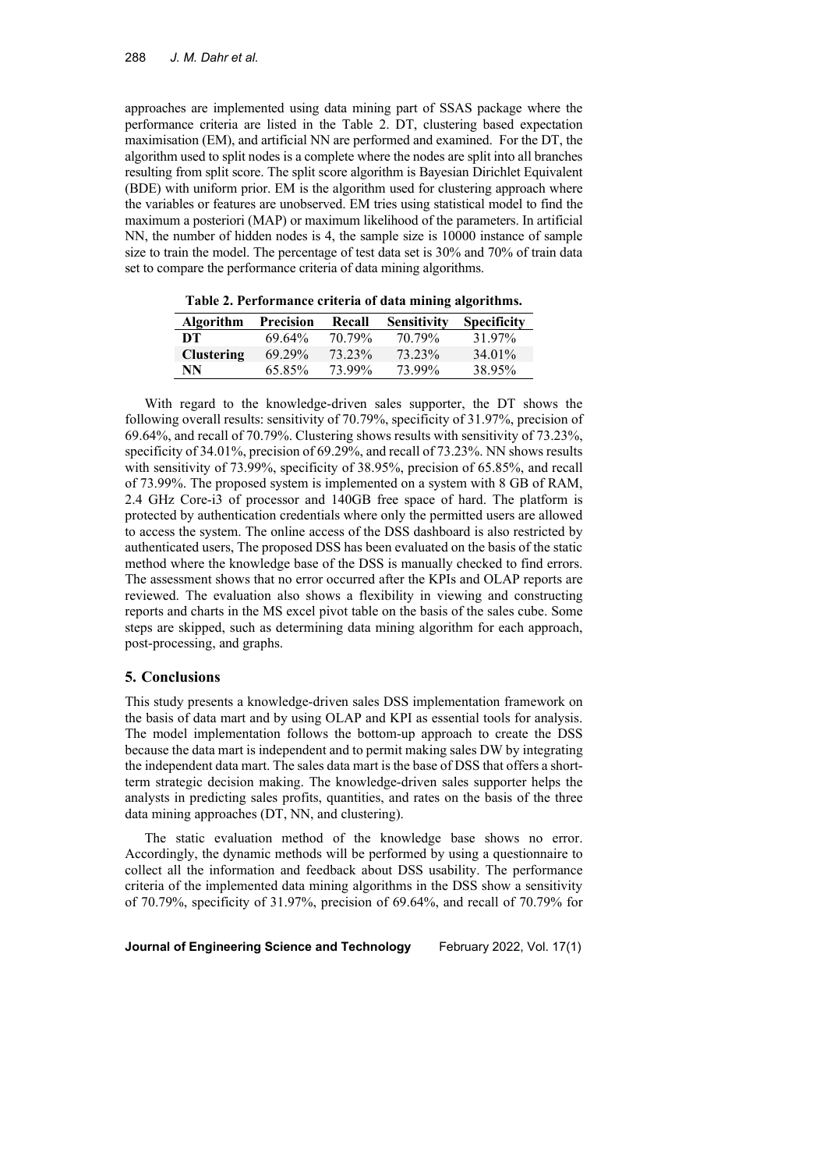approaches are implemented using data mining part of SSAS package where the performance criteria are listed in the Table 2. DT, clustering based expectation maximisation (EM), and artificial NN are performed and examined. For the DT, the algorithm used to split nodes is a complete where the nodes are split into all branches resulting from split score. The split score algorithm is Bayesian Dirichlet Equivalent (BDE) with uniform prior. EM is the algorithm used for clustering approach where the variables or features are unobserved. EM tries using statistical model to find the maximum a posteriori (MAP) or maximum likelihood of the parameters. In artificial NN, the number of hidden nodes is 4, the sample size is 10000 instance of sample size to train the model. The percentage of test data set is 30% and 70% of train data set to compare the performance criteria of data mining algorithms.

| <b>Algorithm</b>  | <b>Precision</b> | Recall | <b>Sensitivity</b> | <b>Specificity</b> |
|-------------------|------------------|--------|--------------------|--------------------|
| DT                | 69.64%           | 70.79% | 70.79%             | 31.97%             |
| <b>Clustering</b> | 69.29%           | 73.23% | 73.23%             | 34.01%             |
| NN                | 65.85%           | 73.99% | 73.99%             | 38.95%             |

**Table 2. Performance criteria of data mining algorithms.**

With regard to the knowledge-driven sales supporter, the DT shows the following overall results: sensitivity of 70.79%, specificity of 31.97%, precision of 69.64%, and recall of 70.79%. Clustering shows results with sensitivity of 73.23%, specificity of 34.01%, precision of 69.29%, and recall of 73.23%. NN shows results with sensitivity of 73.99%, specificity of 38.95%, precision of 65.85%, and recall of 73.99%. The proposed system is implemented on a system with 8 GB of RAM, 2.4 GHz Core-i3 of processor and 140GB free space of hard. The platform is protected by authentication credentials where only the permitted users are allowed to access the system. The online access of the DSS dashboard is also restricted by authenticated users, The proposed DSS has been evaluated on the basis of the static method where the knowledge base of the DSS is manually checked to find errors. The assessment shows that no error occurred after the KPIs and OLAP reports are reviewed. The evaluation also shows a flexibility in viewing and constructing reports and charts in the MS excel pivot table on the basis of the sales cube. Some steps are skipped, such as determining data mining algorithm for each approach, post-processing, and graphs.

#### **5. Conclusions**

This study presents a knowledge-driven sales DSS implementation framework on the basis of data mart and by using OLAP and KPI as essential tools for analysis. The model implementation follows the bottom-up approach to create the DSS because the data mart is independent and to permit making sales DW by integrating the independent data mart. The sales data mart is the base of DSS that offers a shortterm strategic decision making. The knowledge-driven sales supporter helps the analysts in predicting sales profits, quantities, and rates on the basis of the three data mining approaches (DT, NN, and clustering).

The static evaluation method of the knowledge base shows no error. Accordingly, the dynamic methods will be performed by using a questionnaire to collect all the information and feedback about DSS usability. The performance criteria of the implemented data mining algorithms in the DSS show a sensitivity of 70.79%, specificity of 31.97%, precision of 69.64%, and recall of 70.79% for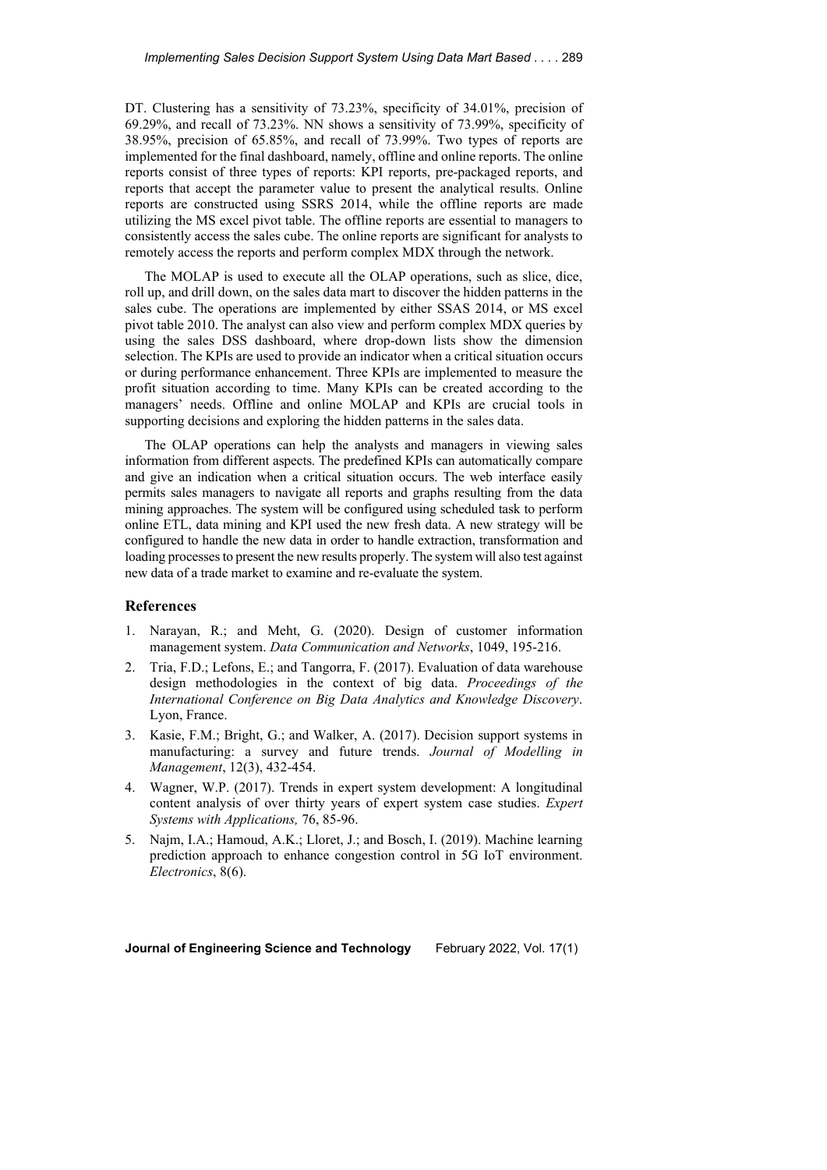DT. Clustering has a sensitivity of 73.23%, specificity of 34.01%, precision of 69.29%, and recall of 73.23%. NN shows a sensitivity of 73.99%, specificity of 38.95%, precision of 65.85%, and recall of 73.99%. Two types of reports are implemented for the final dashboard, namely, offline and online reports. The online reports consist of three types of reports: KPI reports, pre-packaged reports, and reports that accept the parameter value to present the analytical results. Online reports are constructed using SSRS 2014, while the offline reports are made utilizing the MS excel pivot table. The offline reports are essential to managers to consistently access the sales cube. The online reports are significant for analysts to remotely access the reports and perform complex MDX through the network.

The MOLAP is used to execute all the OLAP operations, such as slice, dice, roll up, and drill down, on the sales data mart to discover the hidden patterns in the sales cube. The operations are implemented by either SSAS 2014, or MS excel pivot table 2010. The analyst can also view and perform complex MDX queries by using the sales DSS dashboard, where drop-down lists show the dimension selection. The KPIs are used to provide an indicator when a critical situation occurs or during performance enhancement. Three KPIs are implemented to measure the profit situation according to time. Many KPIs can be created according to the managers' needs. Offline and online MOLAP and KPIs are crucial tools in supporting decisions and exploring the hidden patterns in the sales data.

The OLAP operations can help the analysts and managers in viewing sales information from different aspects. The predefined KPIs can automatically compare and give an indication when a critical situation occurs. The web interface easily permits sales managers to navigate all reports and graphs resulting from the data mining approaches. The system will be configured using scheduled task to perform online ETL, data mining and KPI used the new fresh data. A new strategy will be configured to handle the new data in order to handle extraction, transformation and loading processes to present the new results properly. The system will also test against new data of a trade market to examine and re-evaluate the system.

## **References**

- 1. Narayan, R.; and Meht, G. (2020). Design of customer information management system. *Data Communication and Networks*, 1049, 195-216.
- 2. Tria, F.D.; Lefons, E.; and Tangorra, F. (2017). Evaluation of data warehouse design methodologies in the context of big data. *Proceedings of the International Conference on Big Data Analytics and Knowledge Discovery*. Lyon, France.
- 3. Kasie, F.M.; Bright, G.; and Walker, A. (2017). Decision support systems in manufacturing: a survey and future trends. *Journal of Modelling in Management*, 12(3), 432-454.
- 4. Wagner, W.P. (2017). Trends in expert system development: A longitudinal content analysis of over thirty years of expert system case studies. *Expert Systems with Applications,* 76, 85-96.
- 5. Najm, I.A.; Hamoud, A.K.; Lloret, J.; and Bosch, I. (2019). Machine learning prediction approach to enhance congestion control in 5G IoT environment. *Electronics*, 8(6).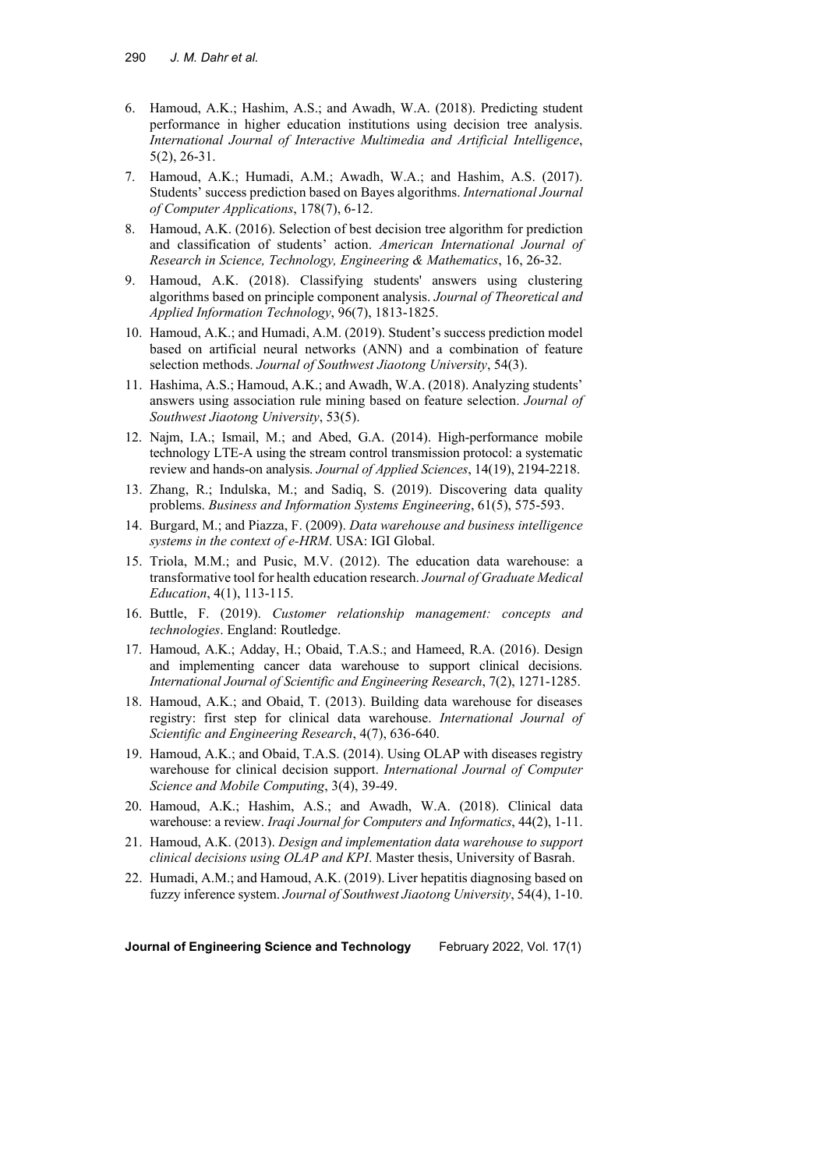- 6. Hamoud, A.K.; Hashim, A.S.; and Awadh, W.A. (2018). Predicting student performance in higher education institutions using decision tree analysis. *International Journal of Interactive Multimedia and Artificial Intelligence*, 5(2), 26-31.
- 7. Hamoud, A.K.; Humadi, A.M.; Awadh, W.A.; and Hashim, A.S. (2017). Students' success prediction based on Bayes algorithms. *International Journal of Computer Applications*, 178(7), 6-12.
- 8. Hamoud, A.K. (2016). Selection of best decision tree algorithm for prediction and classification of students' action. *American International Journal of Research in Science, Technology, Engineering & Mathematics*, 16, 26-32.
- 9. Hamoud, A.K. (2018). Classifying students' answers using clustering algorithms based on principle component analysis. *Journal of Theoretical and Applied Information Technology*, 96(7), 1813-1825.
- 10. Hamoud, A.K.; and Humadi, A.M. (2019). Student's success prediction model based on artificial neural networks (ANN) and a combination of feature selection methods. *Journal of Southwest Jiaotong University*, 54(3).
- 11. Hashima, A.S.; Hamoud, A.K.; and Awadh, W.A. (2018). Analyzing students' answers using association rule mining based on feature selection. *Journal of Southwest Jiaotong University*, 53(5).
- 12. Najm, I.A.; Ismail, M.; and Abed, G.A. (2014). High-performance mobile technology LTE-A using the stream control transmission protocol: a systematic review and hands-on analysis. *Journal of Applied Sciences*, 14(19), 2194-2218.
- 13. Zhang, R.; Indulska, M.; and Sadiq, S. (2019). Discovering data quality problems. *Business and Information Systems Engineering*, 61(5), 575-593.
- 14. Burgard, M.; and Piazza, F. (2009). *Data warehouse and business intelligence systems in the context of e-HRM*. USA: IGI Global.
- 15. Triola, M.M.; and Pusic, M.V. (2012). The education data warehouse: a transformative tool for health education research. *Journal of Graduate Medical Education*, 4(1), 113-115.
- 16. Buttle, F. (2019). *Customer relationship management: concepts and technologies*. England: Routledge.
- 17. Hamoud, A.K.; Adday, H.; Obaid, T.A.S.; and Hameed, R.A. (2016). Design and implementing cancer data warehouse to support clinical decisions. *International Journal of Scientific and Engineering Research*, 7(2), 1271-1285.
- 18. Hamoud, A.K.; and Obaid, T. (2013). Building data warehouse for diseases registry: first step for clinical data warehouse. *International Journal of Scientific and Engineering Research*, 4(7), 636-640.
- 19. Hamoud, A.K.; and Obaid, T.A.S. (2014). Using OLAP with diseases registry warehouse for clinical decision support. *International Journal of Computer Science and Mobile Computing*, 3(4), 39-49.
- 20. Hamoud, A.K.; Hashim, A.S.; and Awadh, W.A. (2018). Clinical data warehouse: a review. *Iraqi Journal for Computers and Informatics*, 44(2), 1-11.
- 21. Hamoud, A.K. (2013). *Design and implementation data warehouse to support clinical decisions using OLAP and KPI*. Master thesis, University of Basrah.
- 22. Humadi, A.M.; and Hamoud, A.K. (2019). Liver hepatitis diagnosing based on fuzzy inference system. *Journal of Southwest Jiaotong University*, 54(4), 1-10.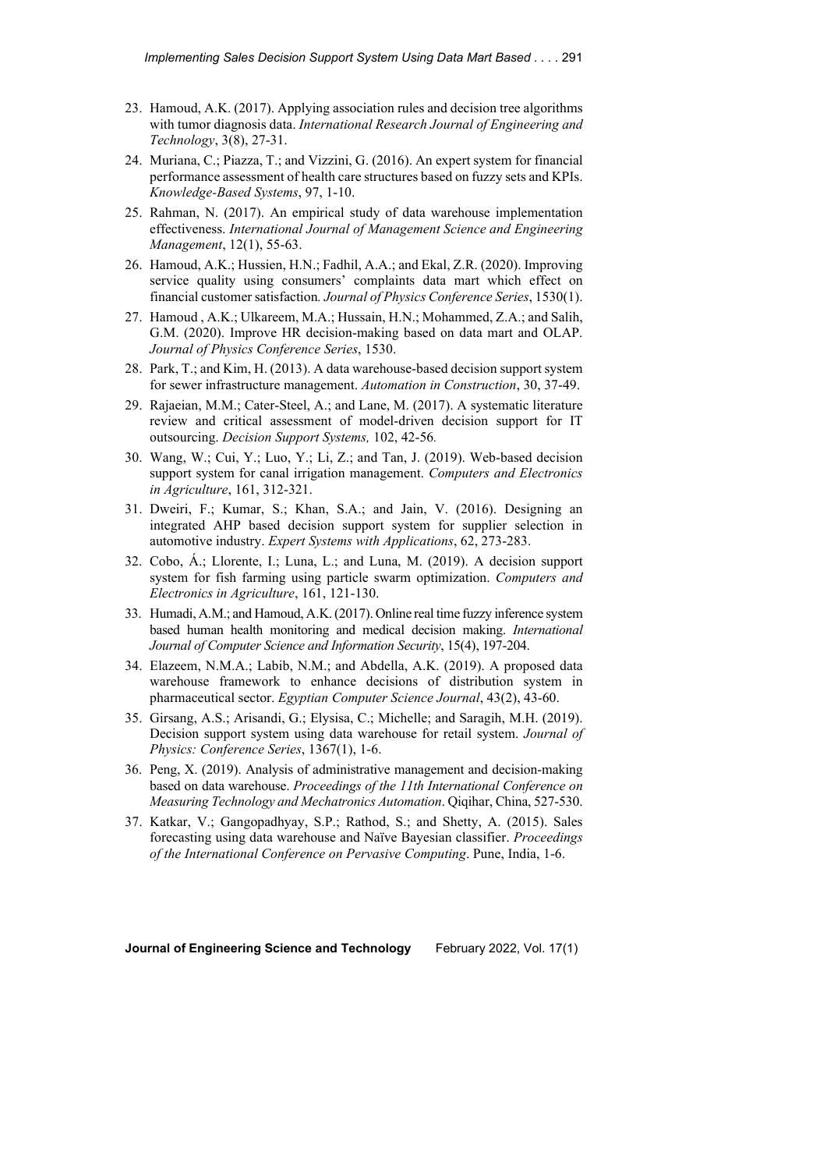- 23. Hamoud, A.K. (2017). Applying association rules and decision tree algorithms with tumor diagnosis data. *International Research Journal of Engineering and Technology*, 3(8), 27-31.
- 24. Muriana, C.; Piazza, T.; and Vizzini, G. (2016). An expert system for financial performance assessment of health care structures based on fuzzy sets and KPIs. *Knowledge-Based Systems*, 97, 1-10.
- 25. Rahman, N. (2017). An empirical study of data warehouse implementation effectiveness. *International Journal of Management Science and Engineering Management*, 12(1), 55-63.
- 26. Hamoud, A.K.; Hussien, H.N.; Fadhil, A.A.; and Ekal, Z.R. (2020). Improving service quality using consumers' complaints data mart which effect on financial customer satisfaction*. Journal of Physics Conference Series*, 1530(1).
- 27. Hamoud , A.K.; Ulkareem, M.A.; Hussain, H.N.; Mohammed, Z.A.; and Salih, G.M. (2020). Improve HR decision-making based on data mart and OLAP. *Journal of Physics Conference Series*, 1530.
- 28. Park, T.; and Kim, H. (2013). A data warehouse-based decision support system for sewer infrastructure management. *Automation in Construction*, 30, 37-49.
- 29. Rajaeian, M.M.; Cater-Steel, A.; and Lane, M. (2017). A systematic literature review and critical assessment of model-driven decision support for IT outsourcing. *Decision Support Systems,* 102, 42-56*.*
- 30. Wang, W.; Cui, Y.; Luo, Y.; Li, Z.; and Tan, J. (2019). Web-based decision support system for canal irrigation management. *Computers and Electronics in Agriculture*, 161, 312-321.
- 31. Dweiri, F.; Kumar, S.; Khan, S.A.; and Jain, V. (2016). Designing an integrated AHP based decision support system for supplier selection in automotive industry. *Expert Systems with Applications*, 62, 273-283.
- 32. Cobo, Á.; Llorente, I.; Luna, L.; and Luna, M. (2019). A decision support system for fish farming using particle swarm optimization. *Computers and Electronics in Agriculture*, 161, 121-130.
- 33. Humadi, A.M.; and Hamoud, A.K. (2017). Online real time fuzzy inference system based human health monitoring and medical decision making. *International Journal of Computer Science and Information Security*, 15(4), 197-204.
- 34. Elazeem, N.M.A.; Labib, N.M.; and Abdella, A.K. (2019). A proposed data warehouse framework to enhance decisions of distribution system in pharmaceutical sector. *Egyptian Computer Science Journal*, 43(2), 43-60.
- 35. Girsang, A.S.; Arisandi, G.; Elysisa, C.; Michelle; and Saragih, M.H. (2019). Decision support system using data warehouse for retail system. *Journal of Physics: Conference Series*, 1367(1), 1-6.
- 36. Peng, X. (2019). Analysis of administrative management and decision-making based on data warehouse. *Proceedings of the 11th International Conference on Measuring Technology and Mechatronics Automation*. Qiqihar, China, 527-530.
- 37. Katkar, V.; Gangopadhyay, S.P.; Rathod, S.; and Shetty, A. (2015). Sales forecasting using data warehouse and Naïve Bayesian classifier. *Proceedings of the International Conference on Pervasive Computing*. Pune, India, 1-6.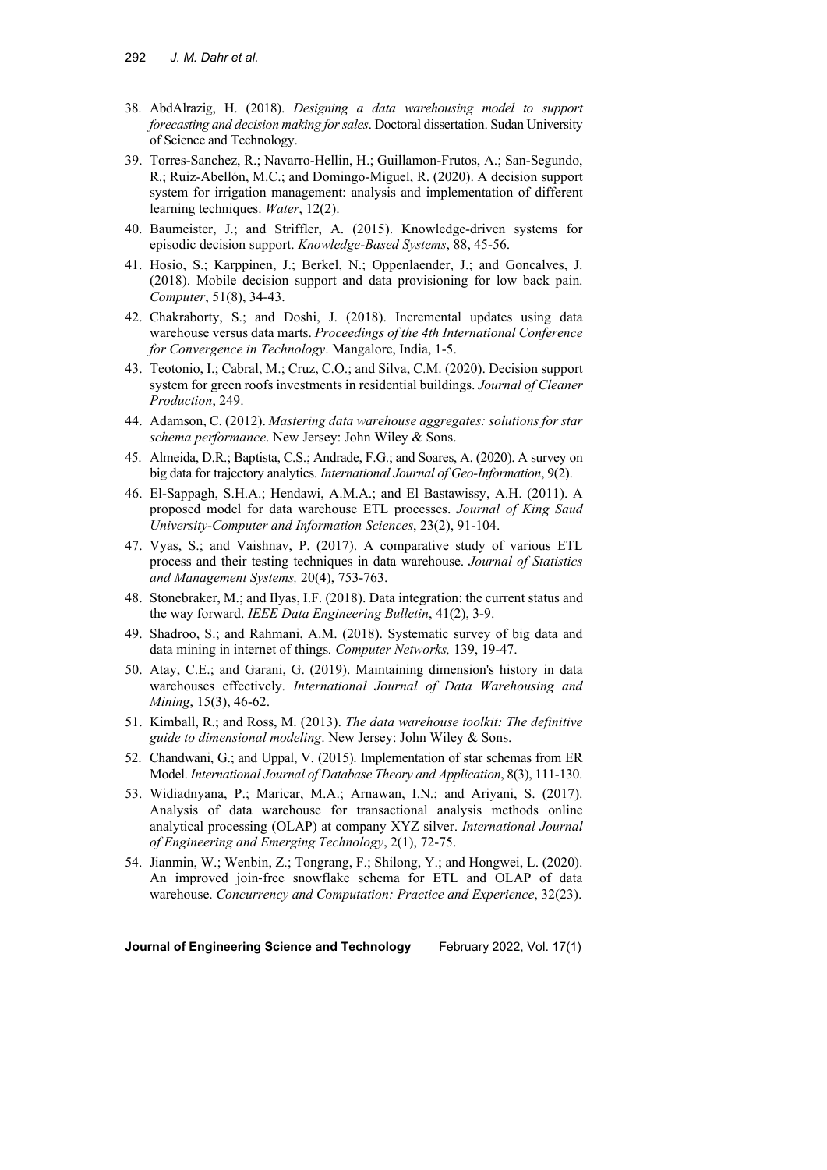- 38. AbdAlrazig, H. (2018). *Designing a data warehousing model to support forecasting and decision making for sales*. Doctoral dissertation. Sudan University of Science and Technology.
- 39. Torres-Sanchez, R.; Navarro-Hellin, H.; Guillamon-Frutos, A.; San-Segundo, R.; Ruiz-Abellón, M.C.; and Domingo-Miguel, R. (2020). A decision support system for irrigation management: analysis and implementation of different learning techniques. *Water*, 12(2).
- 40. Baumeister, J.; and Striffler, A. (2015). Knowledge-driven systems for episodic decision support. *Knowledge-Based Systems*, 88, 45-56.
- 41. Hosio, S.; Karppinen, J.; Berkel, N.; Oppenlaender, J.; and Goncalves, J. (2018). Mobile decision support and data provisioning for low back pain. *Computer*, 51(8), 34-43.
- 42. Chakraborty, S.; and Doshi, J. (2018). Incremental updates using data warehouse versus data marts. *Proceedings of the 4th International Conference for Convergence in Technology*. Mangalore, India, 1-5.
- 43. Teotonio, I.; Cabral, M.; Cruz, C.O.; and Silva, C.M. (2020). Decision support system for green roofs investments in residential buildings. *Journal of Cleaner Production*, 249.
- 44. Adamson, C. (2012). *Mastering data warehouse aggregates: solutions for star schema performance*. New Jersey: John Wiley & Sons.
- 45. Almeida, D.R.; Baptista, C.S.; Andrade, F.G.; and Soares, A. (2020). A survey on big data for trajectory analytics. *International Journal of Geo-Information*, 9(2).
- 46. El-Sappagh, S.H.A.; Hendawi, A.M.A.; and El Bastawissy, A.H. (2011). A proposed model for data warehouse ETL processes. *Journal of King Saud University-Computer and Information Sciences*, 23(2), 91-104.
- 47. Vyas, S.; and Vaishnav, P. (2017). A comparative study of various ETL process and their testing techniques in data warehouse. *Journal of Statistics and Management Systems,* 20(4), 753-763.
- 48. Stonebraker, M.; and Ilyas, I.F. (2018). Data integration: the current status and the way forward. *IEEE Data Engineering Bulletin*, 41(2), 3-9.
- 49. Shadroo, S.; and Rahmani, A.M. (2018). Systematic survey of big data and data mining in internet of things*. Computer Networks,* 139, 19-47.
- 50. Atay, C.E.; and Garani, G. (2019). Maintaining dimension's history in data warehouses effectively. *International Journal of Data Warehousing and Mining*, 15(3), 46-62.
- 51. Kimball, R.; and Ross, M. (2013). *The data warehouse toolkit: The definitive guide to dimensional modeling*. New Jersey: John Wiley & Sons.
- 52. Chandwani, G.; and Uppal, V. (2015). Implementation of star schemas from ER Model. *International Journal of Database Theory and Application*, 8(3), 111-130.
- 53. Widiadnyana, P.; Maricar, M.A.; Arnawan, I.N.; and Ariyani, S. (2017). Analysis of data warehouse for transactional analysis methods online analytical processing (OLAP) at company XYZ silver. *International Journal of Engineering and Emerging Technology*, 2(1), 72-75.
- 54. Jianmin, W.; Wenbin, Z.; Tongrang, F.; Shilong, Y.; and Hongwei, L. (2020). An improved join‐free snowflake schema for ETL and OLAP of data warehouse. *Concurrency and Computation: Practice and Experience*, 32(23).